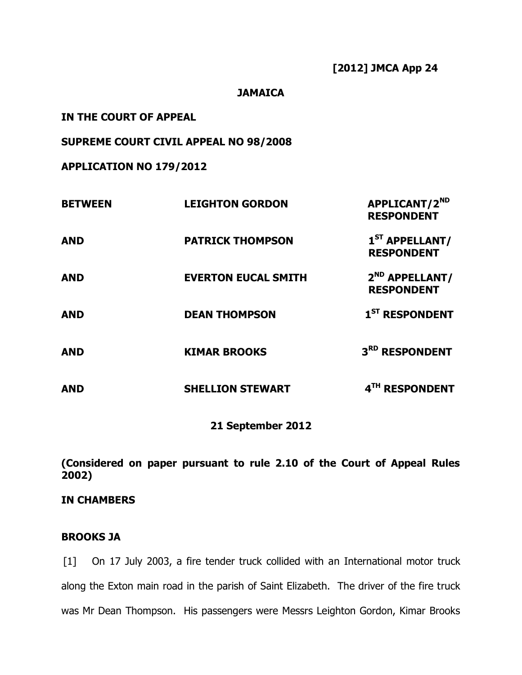#### **JAMAICA**

**IN THE COURT OF APPEAL**

**SUPREME COURT CIVIL APPEAL NO 98/2008**

**APPLICATION NO 179/2012**

| <b>BETWEEN</b> | <b>LEIGHTON GORDON</b>     | APPLICANT/2 <sup>ND</sup><br><b>RESPONDENT</b>  |
|----------------|----------------------------|-------------------------------------------------|
| <b>AND</b>     | <b>PATRICK THOMPSON</b>    | $1ST$ APPELLANT/<br><b>RESPONDENT</b>           |
| <b>AND</b>     | <b>EVERTON EUCAL SMITH</b> | 2 <sup>ND</sup> APPELLANT/<br><b>RESPONDENT</b> |
| <b>AND</b>     | <b>DEAN THOMPSON</b>       | 1 <sup>ST</sup> RESPONDENT                      |
| <b>AND</b>     | <b>KIMAR BROOKS</b>        | 3RD RESPONDENT                                  |
| <b>AND</b>     | <b>SHELLION STEWART</b>    | 4TH RESPONDENT                                  |

## **21 September 2012**

**(Considered on paper pursuant to rule 2.10 of the Court of Appeal Rules 2002)**

## **IN CHAMBERS**

# **BROOKS JA**

[1] On 17 July 2003, a fire tender truck collided with an International motor truck along the Exton main road in the parish of Saint Elizabeth. The driver of the fire truck was Mr Dean Thompson. His passengers were Messrs Leighton Gordon, Kimar Brooks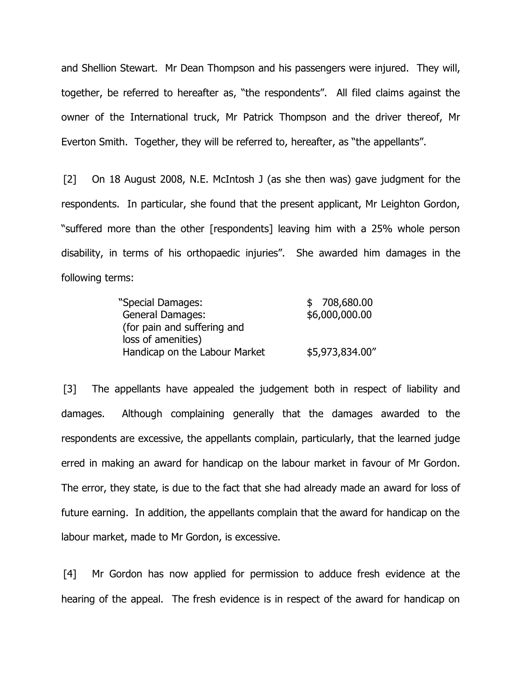and Shellion Stewart. Mr Dean Thompson and his passengers were injured. They will, together, be referred to hereafter as, "the respondents". All filed claims against the owner of the International truck, Mr Patrick Thompson and the driver thereof, Mr Everton Smith. Together, they will be referred to, hereafter, as "the appellants".

[2] On 18 August 2008, N.E. McIntosh J (as she then was) gave judgment for the respondents. In particular, she found that the present applicant, Mr Leighton Gordon, "suffered more than the other [respondents] leaving him with a 25% whole person disability, in terms of his orthopaedic injuries". She awarded him damages in the following terms:

| "Special Damages:             | \$708,680.00    |
|-------------------------------|-----------------|
| <b>General Damages:</b>       | \$6,000,000.00  |
| (for pain and suffering and   |                 |
| loss of amenities)            |                 |
| Handicap on the Labour Market | \$5,973,834.00" |

[3] The appellants have appealed the judgement both in respect of liability and damages. Although complaining generally that the damages awarded to the respondents are excessive, the appellants complain, particularly, that the learned judge erred in making an award for handicap on the labour market in favour of Mr Gordon. The error, they state, is due to the fact that she had already made an award for loss of future earning. In addition, the appellants complain that the award for handicap on the labour market, made to Mr Gordon, is excessive.

[4] Mr Gordon has now applied for permission to adduce fresh evidence at the hearing of the appeal. The fresh evidence is in respect of the award for handicap on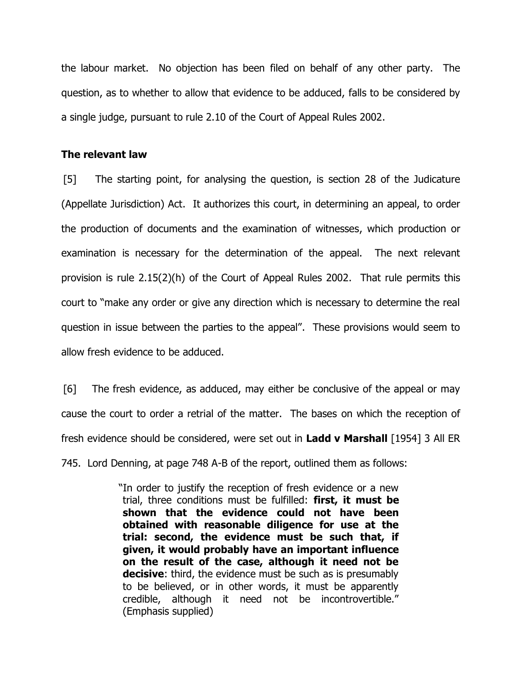the labour market. No objection has been filed on behalf of any other party. The question, as to whether to allow that evidence to be adduced, falls to be considered by a single judge, pursuant to rule 2.10 of the Court of Appeal Rules 2002.

#### **The relevant law**

[5] The starting point, for analysing the question, is section 28 of the Judicature (Appellate Jurisdiction) Act. It authorizes this court, in determining an appeal, to order the production of documents and the examination of witnesses, which production or examination is necessary for the determination of the appeal. The next relevant provision is rule 2.15(2)(h) of the Court of Appeal Rules 2002. That rule permits this court to "make any order or give any direction which is necessary to determine the real question in issue between the parties to the appeal". These provisions would seem to allow fresh evidence to be adduced.

[6] The fresh evidence, as adduced, may either be conclusive of the appeal or may cause the court to order a retrial of the matter. The bases on which the reception of fresh evidence should be considered, were set out in **Ladd v Marshall** [1954] 3 All ER 745. Lord Denning, at page 748 A-B of the report, outlined them as follows:

> "In order to justify the reception of fresh evidence or a new trial, three conditions must be fulfilled: **first, it must be shown that the evidence could not have been obtained with reasonable diligence for use at the trial: second, the evidence must be such that, if given, it would probably have an important influence on the result of the case, although it need not be decisive:** third, the evidence must be such as is presumably to be believed, or in other words, it must be apparently credible, although it need not be incontrovertible." (Emphasis supplied)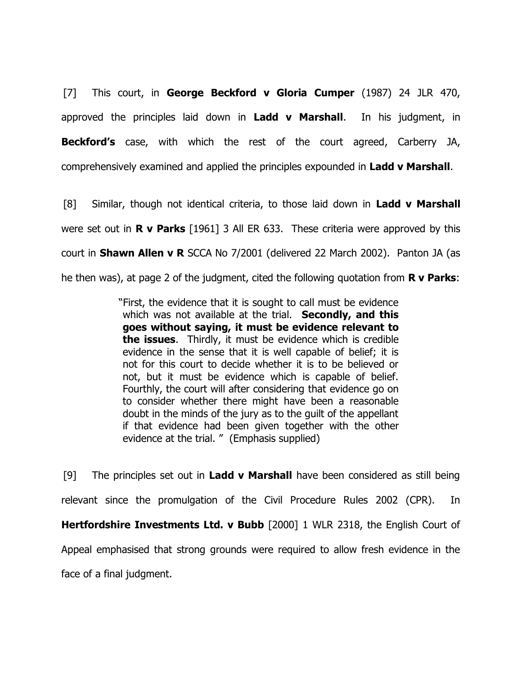[7] This court, in **George Beckford v Gloria Cumper** (1987) 24 JLR 470, approved the principles laid down in **Ladd v Marshall**. In his judgment, in **Beckford's** case, with which the rest of the court agreed, Carberry JA, comprehensively examined and applied the principles expounded in **Ladd v Marshall**.

[8] Similar, though not identical criteria, to those laid down in **Ladd v Marshall** were set out in **R v Parks** [1961] 3 All ER 633. These criteria were approved by this court in **Shawn Allen v R** SCCA No 7/2001 (delivered 22 March 2002). Panton JA (as he then was), at page 2 of the judgment, cited the following quotation from **R v Parks**:

> "First, the evidence that it is sought to call must be evidence which was not available at the trial. **Secondly, and this goes without saying, it must be evidence relevant to the issues**. Thirdly, it must be evidence which is credible evidence in the sense that it is well capable of belief; it is not for this court to decide whether it is to be believed or not, but it must be evidence which is capable of belief. Fourthly, the court will after considering that evidence go on to consider whether there might have been a reasonable doubt in the minds of the jury as to the guilt of the appellant if that evidence had been given together with the other evidence at the trial. " (Emphasis supplied)

[9] The principles set out in **Ladd v Marshall** have been considered as still being relevant since the promulgation of the Civil Procedure Rules 2002 (CPR). In **Hertfordshire Investments Ltd. v Bubb** [2000] 1 WLR 2318, the English Court of Appeal emphasised that strong grounds were required to allow fresh evidence in the face of a final judgment.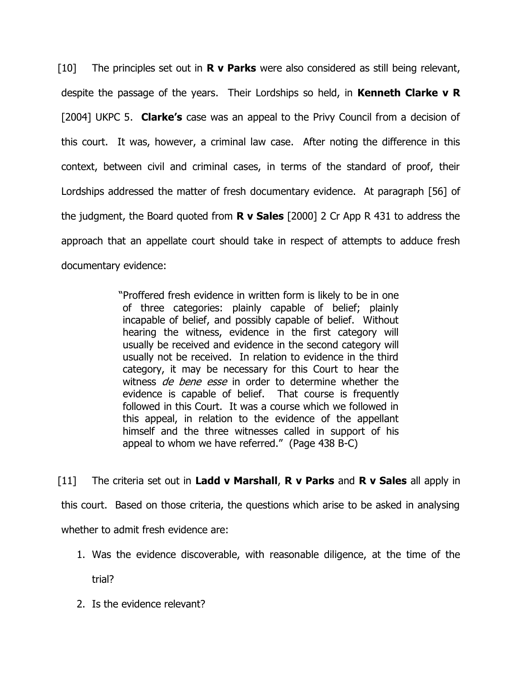[10] The principles set out in **R v Parks** were also considered as still being relevant, despite the passage of the years. Their Lordships so held, in **Kenneth Clarke v R** [2004] UKPC 5. **Clarke's** case was an appeal to the Privy Council from a decision of this court. It was, however, a criminal law case. After noting the difference in this context, between civil and criminal cases, in terms of the standard of proof, their Lordships addressed the matter of fresh documentary evidence. At paragraph [56] of the judgment, the Board quoted from **R v Sales** [2000] 2 Cr App R 431 to address the approach that an appellate court should take in respect of attempts to adduce fresh documentary evidence:

> "Proffered fresh evidence in written form is likely to be in one of three categories: plainly capable of belief; plainly incapable of belief, and possibly capable of belief. Without hearing the witness, evidence in the first category will usually be received and evidence in the second category will usually not be received. In relation to evidence in the third category, it may be necessary for this Court to hear the witness de bene esse in order to determine whether the evidence is capable of belief. That course is frequently followed in this Court. It was a course which we followed in this appeal, in relation to the evidence of the appellant himself and the three witnesses called in support of his appeal to whom we have referred." (Page 438 B-C)

[11] The criteria set out in **Ladd v Marshall**, **R v Parks** and **R v Sales** all apply in this court. Based on those criteria, the questions which arise to be asked in analysing whether to admit fresh evidence are:

1. Was the evidence discoverable, with reasonable diligence, at the time of the

trial?

2. Is the evidence relevant?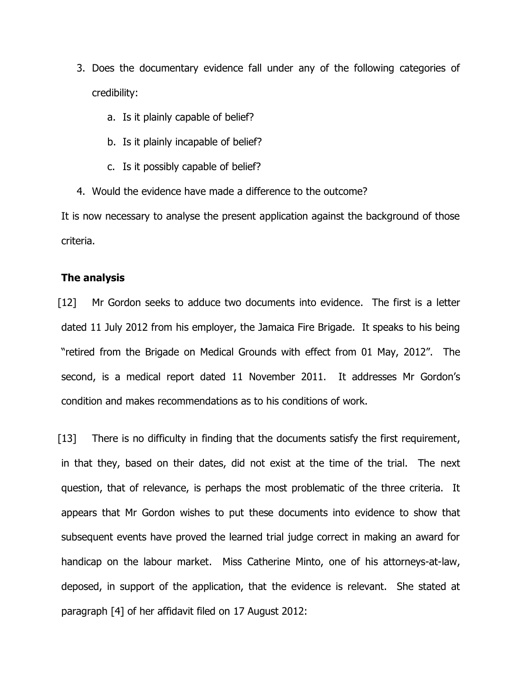- 3. Does the documentary evidence fall under any of the following categories of credibility:
	- a. Is it plainly capable of belief?
	- b. Is it plainly incapable of belief?
	- c. Is it possibly capable of belief?
- 4. Would the evidence have made a difference to the outcome?

It is now necessary to analyse the present application against the background of those criteria.

#### **The analysis**

[12] Mr Gordon seeks to adduce two documents into evidence. The first is a letter dated 11 July 2012 from his employer, the Jamaica Fire Brigade. It speaks to his being "retired from the Brigade on Medical Grounds with effect from 01 May, 2012". The second, is a medical report dated 11 November 2011. It addresses Mr Gordon's condition and makes recommendations as to his conditions of work.

[13] There is no difficulty in finding that the documents satisfy the first requirement, in that they, based on their dates, did not exist at the time of the trial. The next question, that of relevance, is perhaps the most problematic of the three criteria. It appears that Mr Gordon wishes to put these documents into evidence to show that subsequent events have proved the learned trial judge correct in making an award for handicap on the labour market. Miss Catherine Minto, one of his attorneys-at-law, deposed, in support of the application, that the evidence is relevant. She stated at paragraph [4] of her affidavit filed on 17 August 2012: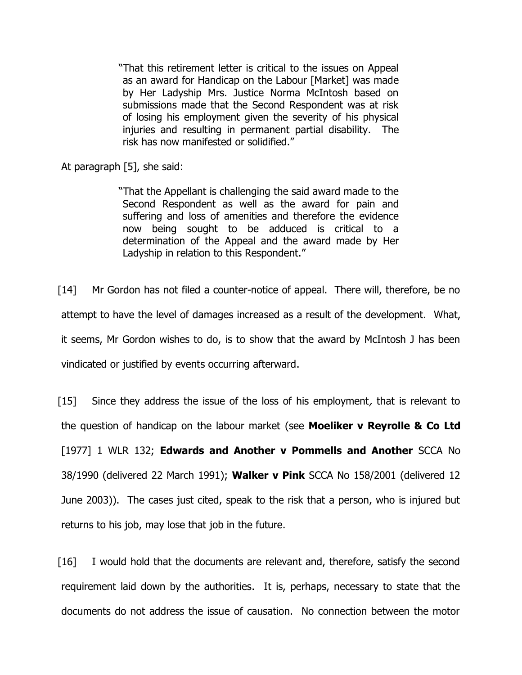"That this retirement letter is critical to the issues on Appeal as an award for Handicap on the Labour [Market] was made by Her Ladyship Mrs. Justice Norma McIntosh based on submissions made that the Second Respondent was at risk of losing his employment given the severity of his physical injuries and resulting in permanent partial disability. The risk has now manifested or solidified."

At paragraph [5], she said:

"That the Appellant is challenging the said award made to the Second Respondent as well as the award for pain and suffering and loss of amenities and therefore the evidence now being sought to be adduced is critical to a determination of the Appeal and the award made by Her Ladyship in relation to this Respondent."

[14] Mr Gordon has not filed a counter-notice of appeal. There will, therefore, be no attempt to have the level of damages increased as a result of the development. What, it seems, Mr Gordon wishes to do, is to show that the award by McIntosh J has been vindicated or justified by events occurring afterward.

[15] Since they address the issue of the loss of his employment, that is relevant to the question of handicap on the labour market (see **Moeliker v Reyrolle & Co Ltd** [1977] 1 WLR 132; **Edwards and Another v Pommells and Another** SCCA No 38/1990 (delivered 22 March 1991); **Walker v Pink** SCCA No 158/2001 (delivered 12 June 2003)). The cases just cited, speak to the risk that a person, who is injured but returns to his job, may lose that job in the future.

[16] I would hold that the documents are relevant and, therefore, satisfy the second requirement laid down by the authorities. It is, perhaps, necessary to state that the documents do not address the issue of causation. No connection between the motor